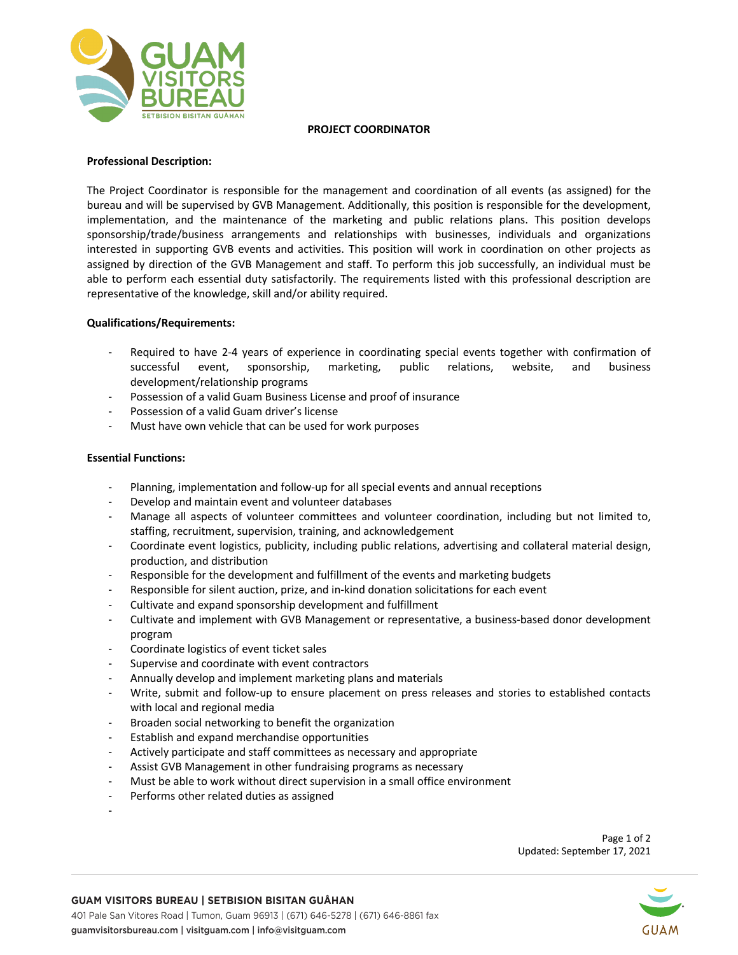

### **PROJECT COORDINATOR**

# **Professional Description:**

The Project Coordinator is responsible for the management and coordination of all events (as assigned) for the bureau and will be supervised by GVB Management. Additionally, this position is responsible for the development, implementation, and the maintenance of the marketing and public relations plans. This position develops sponsorship/trade/business arrangements and relationships with businesses, individuals and organizations interested in supporting GVB events and activities. This position will work in coordination on other projects as assigned by direction of the GVB Management and staff. To perform this job successfully, an individual must be able to perform each essential duty satisfactorily. The requirements listed with this professional description are representative of the knowledge, skill and/or ability required.

## **Qualifications/Requirements:**

- Required to have 2-4 years of experience in coordinating special events together with confirmation of successful event, sponsorship, marketing, public relations, website, and business development/relationship programs
- Possession of a valid Guam Business License and proof of insurance
- Possession of a valid Guam driver's license
- Must have own vehicle that can be used for work purposes

## **Essential Functions:**

-

- Planning, implementation and follow-up for all special events and annual receptions
- Develop and maintain event and volunteer databases
- Manage all aspects of volunteer committees and volunteer coordination, including but not limited to, staffing, recruitment, supervision, training, and acknowledgement
- Coordinate event logistics, publicity, including public relations, advertising and collateral material design, production, and distribution
- Responsible for the development and fulfillment of the events and marketing budgets
- Responsible for silent auction, prize, and in-kind donation solicitations for each event
- Cultivate and expand sponsorship development and fulfillment
- Cultivate and implement with GVB Management or representative, a business-based donor development program
- Coordinate logistics of event ticket sales
- Supervise and coordinate with event contractors
- Annually develop and implement marketing plans and materials
- Write, submit and follow-up to ensure placement on press releases and stories to established contacts with local and regional media
- Broaden social networking to benefit the organization
- Establish and expand merchandise opportunities
- Actively participate and staff committees as necessary and appropriate
- Assist GVB Management in other fundraising programs as necessary
- Must be able to work without direct supervision in a small office environment
- Performs other related duties as assigned

Page 1 of 2 Updated: September 17, 2021